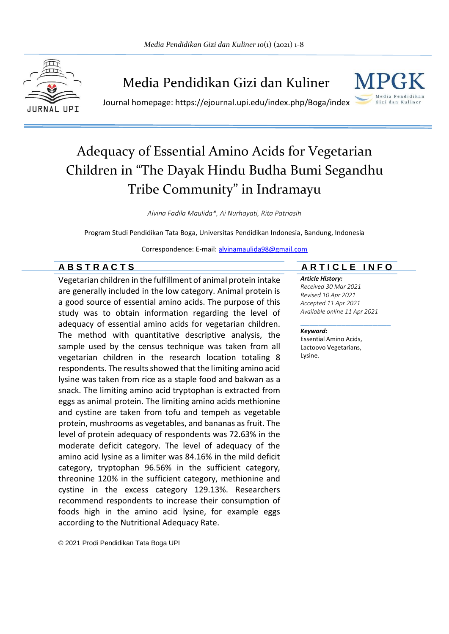

## Media Pendidikan Gizi dan Kuliner



Journal homepage: https://ejournal.upi.edu/index.php/Boga/index

# Adequacy of Essential Amino Acids for Vegetarian Children in "The Dayak Hindu Budha Bumi Segandhu Tribe Community" in Indramayu

*Alvina Fadila Maulida\*, Ai Nurhayati, Rita Patriasih*

Program Studi Pendidikan Tata Boga, Universitas Pendidikan Indonesia, Bandung, Indonesia

Correspondence: E-mail: [alvinamaulida98@gmail.com](mailto:alvinamaulida98@gmail.com)

Vegetarian children in the fulfillment of animal protein intake are generally included in the low category. Animal protein is a good source of essential amino acids. The purpose of this study was to obtain information regarding the level of adequacy of essential amino acids for vegetarian children. The method with quantitative descriptive analysis, the sample used by the census technique was taken from all vegetarian children in the research location totaling 8 respondents. The results showed that the limiting amino acid lysine was taken from rice as a staple food and bakwan as a snack. The limiting amino acid tryptophan is extracted from eggs as animal protein. The limiting amino acids methionine and cystine are taken from tofu and tempeh as vegetable protein, mushrooms as vegetables, and bananas as fruit. The level of protein adequacy of respondents was 72.63% in the moderate deficit category. The level of adequacy of the amino acid lysine as a limiter was 84.16% in the mild deficit category, tryptophan 96.56% in the sufficient category, threonine 120% in the sufficient category, methionine and cystine in the excess category 129.13%. Researchers recommend respondents to increase their consumption of foods high in the amino acid lysine, for example eggs according to the Nutritional Adequacy Rate.

© 2021 Prodi Pendidikan Tata Boga UPI

### **A B S T R A C T S A R T I C L E I N F O**

#### *Article History:*

*Received 30 Mar 2021 Revised 10 Apr 2021 Accepted 11 Apr 2021 Available online 11 Apr 2021*

#### \_\_\_\_\_\_\_\_\_\_\_\_\_\_\_\_\_\_\_\_ *Keyword:*

Essential Amino Acids, Lactoovo Vegetarians, Lysine.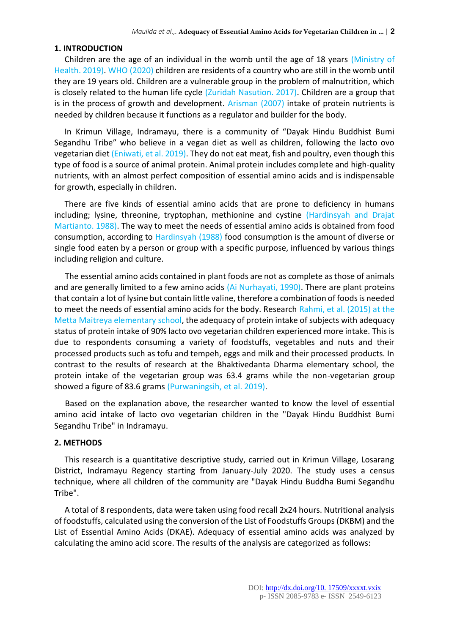#### **1. INTRODUCTION**

Children are the age of an individual in the womb until the age of 18 years (Ministry of Health. 2019). WHO (2020) children are residents of a country who are still in the womb until they are 19 years old. Children are a vulnerable group in the problem of malnutrition, which is closely related to the human life cycle (Zuridah Nasution. 2017). Children are a group that is in the process of growth and development. Arisman (2007) intake of protein nutrients is needed by children because it functions as a regulator and builder for the body.

In Krimun Village, Indramayu, there is a community of "Dayak Hindu Buddhist Bumi Segandhu Tribe" who believe in a vegan diet as well as children, following the lacto ovo vegetarian diet (Eniwati, et al. 2019). They do not eat meat, fish and poultry, even though this type of food is a source of animal protein. Animal protein includes complete and high-quality nutrients, with an almost perfect composition of essential amino acids and is indispensable for growth, especially in children.

There are five kinds of essential amino acids that are prone to deficiency in humans including; lysine, threonine, tryptophan, methionine and cystine (Hardinsyah and Drajat Martianto. 1988). The way to meet the needs of essential amino acids is obtained from food consumption, according to Hardinsyah (1988) food consumption is the amount of diverse or single food eaten by a person or group with a specific purpose, influenced by various things including religion and culture.

The essential amino acids contained in plant foods are not as complete as those of animals and are generally limited to a few amino acids (Ai Nurhayati, 1990). There are plant proteins that contain a lot of lysine but contain little valine, therefore a combination of foods is needed to meet the needs of essential amino acids for the body. Research Rahmi, et al. (2015) at the Metta Maitreya elementary school, the adequacy of protein intake of subjects with adequacy status of protein intake of 90% lacto ovo vegetarian children experienced more intake. This is due to respondents consuming a variety of foodstuffs, vegetables and nuts and their processed products such as tofu and tempeh, eggs and milk and their processed products. In contrast to the results of research at the Bhaktivedanta Dharma elementary school, the protein intake of the vegetarian group was 63.4 grams while the non-vegetarian group showed a figure of 83.6 grams (Purwaningsih, et al. 2019).

Based on the explanation above, the researcher wanted to know the level of essential amino acid intake of lacto ovo vegetarian children in the "Dayak Hindu Buddhist Bumi Segandhu Tribe" in Indramayu.

#### **2. METHODS**

This research is a quantitative descriptive study, carried out in Krimun Village, Losarang District, Indramayu Regency starting from January-July 2020. The study uses a census technique, where all children of the community are "Dayak Hindu Buddha Bumi Segandhu Tribe".

A total of 8 respondents, data were taken using food recall 2x24 hours. Nutritional analysis of foodstuffs, calculated using the conversion of the List of Foodstuffs Groups (DKBM) and the List of Essential Amino Acids (DKAE). Adequacy of essential amino acids was analyzed by calculating the amino acid score. The results of the analysis are categorized as follows: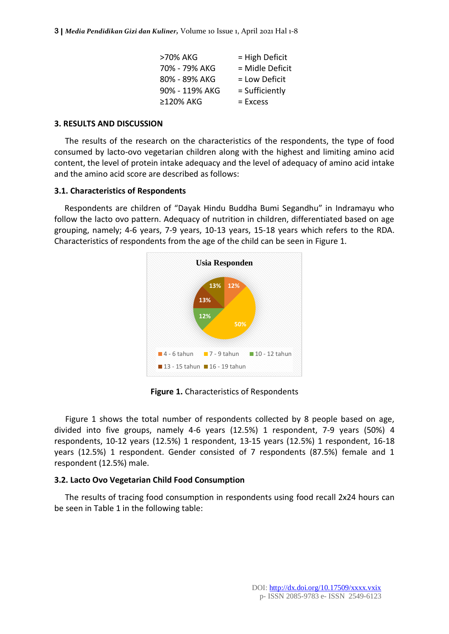**3 |** *Media Pendidikan Gizi dan Kuliner,* Volume 10 Issue 1, April 2021 Hal 1-8

| >70% AKG       | $=$ High Deficit |
|----------------|------------------|
| 70% - 79% AKG  | = Midle Deficit  |
| 80% - 89% AKG  | = Low Deficit    |
| 90% - 119% AKG | = Sufficiently   |
| ≥120% AKG      | $=$ Excess       |

#### **3. RESULTS AND DISCUSSION**

The results of the research on the characteristics of the respondents, the type of food consumed by lacto-ovo vegetarian children along with the highest and limiting amino acid content, the level of protein intake adequacy and the level of adequacy of amino acid intake and the amino acid score are described as follows:

#### **3.1. Characteristics of Respondents**

Respondents are children of "Dayak Hindu Buddha Bumi Segandhu" in Indramayu who follow the lacto ovo pattern. Adequacy of nutrition in children, differentiated based on age grouping, namely; 4-6 years, 7-9 years, 10-13 years, 15-18 years which refers to the RDA. Characteristics of respondents from the age of the child can be seen in Figure 1.



**Figure 1.** Characteristics of Respondents

Figure 1 shows the total number of respondents collected by 8 people based on age, divided into five groups, namely 4-6 years (12.5%) 1 respondent, 7-9 years (50%) 4 respondents, 10-12 years (12.5%) 1 respondent, 13-15 years (12.5%) 1 respondent, 16-18 years (12.5%) 1 respondent. Gender consisted of 7 respondents (87.5%) female and 1 respondent (12.5%) male.

#### **3.2. Lacto Ovo Vegetarian Child Food Consumption**

The results of tracing food consumption in respondents using food recall 2x24 hours can be seen in Table 1 in the following table: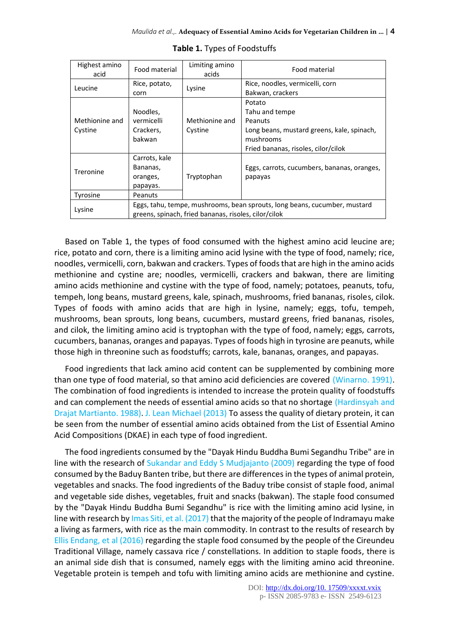| Highest amino<br>acid     | Food material                                                | Limiting amino<br>acids                              | Food material                                                                                                                         |
|---------------------------|--------------------------------------------------------------|------------------------------------------------------|---------------------------------------------------------------------------------------------------------------------------------------|
| Leucine                   | Rice, potato,<br>corn                                        | Lysine                                               | Rice, noodles, vermicelli, corn<br>Bakwan, crackers                                                                                   |
| Methionine and<br>Cystine | Noodles,<br>vermicelli<br>Crackers,<br>bakwan                | Methionine and<br>Cystine                            | Potato<br>Tahu and tempe<br>Peanuts<br>Long beans, mustard greens, kale, spinach,<br>mushrooms<br>Fried bananas, risoles, cilor/cilok |
| Treronine<br>Tyrosine     | Carrots, kale<br>Bananas,<br>oranges,<br>papayas.<br>Peanuts | Tryptophan                                           | Eggs, carrots, cucumbers, bananas, oranges,<br>papayas                                                                                |
| Lysine                    |                                                              | greens, spinach, fried bananas, risoles, cilor/cilok | Eggs, tahu, tempe, mushrooms, bean sprouts, long beans, cucumber, mustard                                                             |

|  |  | Table 1. Types of Foodstuffs |  |  |  |
|--|--|------------------------------|--|--|--|
|--|--|------------------------------|--|--|--|

Based on Table 1, the types of food consumed with the highest amino acid leucine are; rice, potato and corn, there is a limiting amino acid lysine with the type of food, namely; rice, noodles, vermicelli, corn, bakwan and crackers. Types of foods that are high in the amino acids methionine and cystine are; noodles, vermicelli, crackers and bakwan, there are limiting amino acids methionine and cystine with the type of food, namely; potatoes, peanuts, tofu, tempeh, long beans, mustard greens, kale, spinach, mushrooms, fried bananas, risoles, cilok. Types of foods with amino acids that are high in lysine, namely; eggs, tofu, tempeh, mushrooms, bean sprouts, long beans, cucumbers, mustard greens, fried bananas, risoles, and cilok, the limiting amino acid is tryptophan with the type of food, namely; eggs, carrots, cucumbers, bananas, oranges and papayas. Types of foods high in tyrosine are peanuts, while those high in threonine such as foodstuffs; carrots, kale, bananas, oranges, and papayas.

Food ingredients that lack amino acid content can be supplemented by combining more than one type of food material, so that amino acid deficiencies are covered (Winarno. 1991). The combination of food ingredients is intended to increase the protein quality of foodstuffs and can complement the needs of essential amino acids so that no shortage (Hardinsyah and Drajat Martianto. 1988). J. Lean Michael (2013) To assess the quality of dietary protein, it can be seen from the number of essential amino acids obtained from the List of Essential Amino Acid Compositions (DKAE) in each type of food ingredient.

The food ingredients consumed by the "Dayak Hindu Buddha Bumi Segandhu Tribe" are in line with the research of Sukandar and Eddy S Mudjajanto (2009) regarding the type of food consumed by the Baduy Banten tribe, but there are differences in the types of animal protein, vegetables and snacks. The food ingredients of the Baduy tribe consist of staple food, animal and vegetable side dishes, vegetables, fruit and snacks (bakwan). The staple food consumed by the "Dayak Hindu Buddha Bumi Segandhu" is rice with the limiting amino acid lysine, in line with research by Imas Siti, et al. (2017) that the majority of the people of Indramayu make a living as farmers, with rice as the main commodity. In contrast to the results of research by Ellis Endang, et al (2016) regarding the staple food consumed by the people of the Cireundeu Traditional Village, namely cassava rice / constellations. In addition to staple foods, there is an animal side dish that is consumed, namely eggs with the limiting amino acid threonine. Vegetable protein is tempeh and tofu with limiting amino acids are methionine and cystine.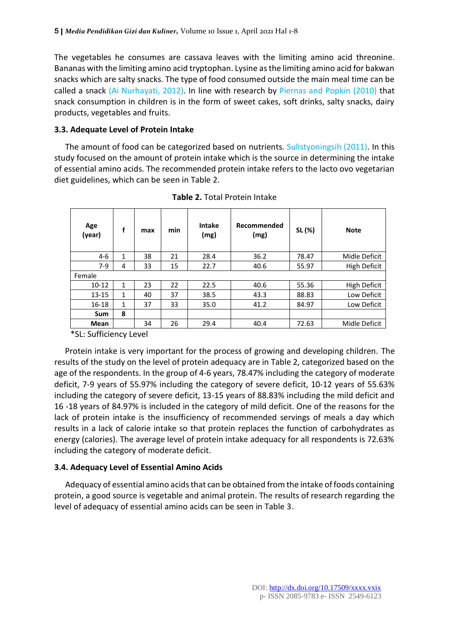The vegetables he consumes are cassava leaves with the limiting amino acid threonine. Bananas with the limiting amino acid tryptophan. Lysine as the limiting amino acid for bakwan snacks which are salty snacks. The type of food consumed outside the main meal time can be called a snack (Ai Nurhayati, 2012). In line with research by Piernas and Popkin (2010) that snack consumption in children is in the form of sweet cakes, soft drinks, salty snacks, dairy products, vegetables and fruits.

#### **3.3. Adequate Level of Protein Intake**

The amount of food can be categorized based on nutrients. Sulistyoningsih (2011). In this study focused on the amount of protein intake which is the source in determining the intake of essential amino acids. The recommended protein intake refers to the lacto ovo vegetarian diet guidelines, which can be seen in Table 2.

| Age<br>(year) | f            | max | min | <b>Intake</b><br>(mg) | Recommended<br>(mg) | SL (%) | <b>Note</b>         |
|---------------|--------------|-----|-----|-----------------------|---------------------|--------|---------------------|
| $4-6$         | $\mathbf{1}$ | 38  | 21  | 28.4                  | 36.2                | 78.47  | Midle Deficit       |
| $7-9$         | 4            | 33  | 15  | 22.7                  | 40.6                | 55.97  | High Deficit        |
| Female        |              |     |     |                       |                     |        |                     |
| $10 - 12$     | 1            | 23  | 22  | 22.5                  | 40.6                | 55.36  | <b>High Deficit</b> |
| $13 - 15$     | 1            | 40  | 37  | 38.5                  | 43.3                | 88.83  | Low Deficit         |
| $16 - 18$     | 1            | 37  | 33  | 35.0                  | 41.2                | 84.97  | Low Deficit         |
| Sum           | 8            |     |     |                       |                     |        |                     |
| Mean          |              | 34  | 26  | 29.4                  | 40.4                | 72.63  | Midle Deficit       |

**Table 2.** Total Protein Intake

\*SL: Sufficiency Level

Protein intake is very important for the process of growing and developing children. The results of the study on the level of protein adequacy are in Table 2, categorized based on the age of the respondents. In the group of 4-6 years, 78.47% including the category of moderate deficit, 7-9 years of 55.97% including the category of severe deficit, 10-12 years of 55.63% including the category of severe deficit, 13-15 years of 88.83% including the mild deficit and 16 -18 years of 84.97% is included in the category of mild deficit. One of the reasons for the lack of protein intake is the insufficiency of recommended servings of meals a day which results in a lack of calorie intake so that protein replaces the function of carbohydrates as energy (calories). The average level of protein intake adequacy for all respondents is 72.63% including the category of moderate deficit.

#### **3.4. Adequacy Level of Essential Amino Acids**

Adequacy of essential amino acids that can be obtained from the intake of foods containing protein, a good source is vegetable and animal protein. The results of research regarding the level of adequacy of essential amino acids can be seen in Table 3.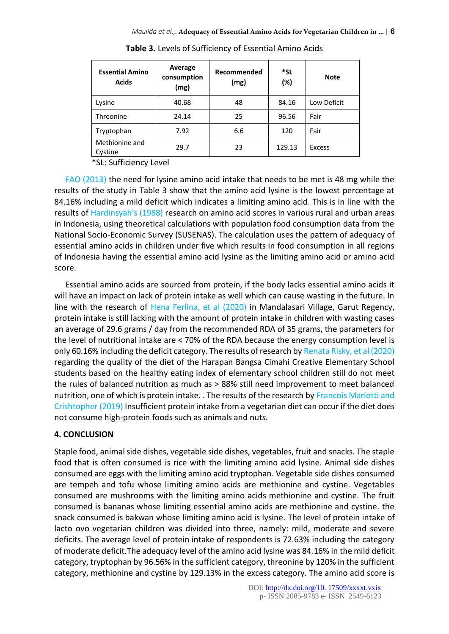| <b>Essential Amino</b><br><b>Acids</b> | Average<br>consumption<br>(mg) | Recommended<br>(mg) | *SL<br>(%) | <b>Note</b>   |
|----------------------------------------|--------------------------------|---------------------|------------|---------------|
| Lysine                                 | 40.68                          | 48                  | 84.16      | Low Deficit   |
| Threonine                              | 24.14                          | 25                  | 96.56      | Fair          |
| Tryptophan                             | 7.92                           | 6.6                 | 120        | Fair          |
| Methionine and<br>Cystine              | 29.7                           | 23                  | 129.13     | <b>Excess</b> |

**Table 3.** Levels of Sufficiency of Essential Amino Acids

\*SL: Sufficiency Level

FAO (2013) the need for lysine amino acid intake that needs to be met is 48 mg while the results of the study in Table 3 show that the amino acid lysine is the lowest percentage at 84.16% including a mild deficit which indicates a limiting amino acid. This is in line with the results of Hardinsyah's (1988) research on amino acid scores in various rural and urban areas in Indonesia, using theoretical calculations with population food consumption data from the National Socio-Economic Survey (SUSENAS). The calculation uses the pattern of adequacy of essential amino acids in children under five which results in food consumption in all regions of Indonesia having the essential amino acid lysine as the limiting amino acid or amino acid score.

Essential amino acids are sourced from protein, if the body lacks essential amino acids it will have an impact on lack of protein intake as well which can cause wasting in the future. In line with the research of Hena Ferlina, et al (2020) in Mandalasari Village, Garut Regency, protein intake is still lacking with the amount of protein intake in children with wasting cases an average of 29.6 grams / day from the recommended RDA of 35 grams, the parameters for the level of nutritional intake are < 70% of the RDA because the energy consumption level is only 60.16% including the deficit category. The results of research by Renata Risky, et al (2020) regarding the quality of the diet of the Harapan Bangsa Cimahi Creative Elementary School students based on the healthy eating index of elementary school children still do not meet the rules of balanced nutrition as much as > 88% still need improvement to meet balanced nutrition, one of which is protein intake. . The results of the research by Francois Mariotti and Crishtopher (2019) Insufficient protein intake from a vegetarian diet can occur if the diet does not consume high-protein foods such as animals and nuts.

#### **4. CONCLUSION**

Staple food, animal side dishes, vegetable side dishes, vegetables, fruit and snacks. The staple food that is often consumed is rice with the limiting amino acid lysine. Animal side dishes consumed are eggs with the limiting amino acid tryptophan. Vegetable side dishes consumed are tempeh and tofu whose limiting amino acids are methionine and cystine. Vegetables consumed are mushrooms with the limiting amino acids methionine and cystine. The fruit consumed is bananas whose limiting essential amino acids are methionine and cystine. the snack consumed is bakwan whose limiting amino acid is lysine. The level of protein intake of lacto ovo vegetarian children was divided into three, namely: mild, moderate and severe deficits. The average level of protein intake of respondents is 72.63% including the category of moderate deficit.The adequacy level of the amino acid lysine was 84.16% in the mild deficit category, tryptophan by 96.56% in the sufficient category, threonine by 120% in the sufficient category, methionine and cystine by 129.13% in the excess category. The amino acid score is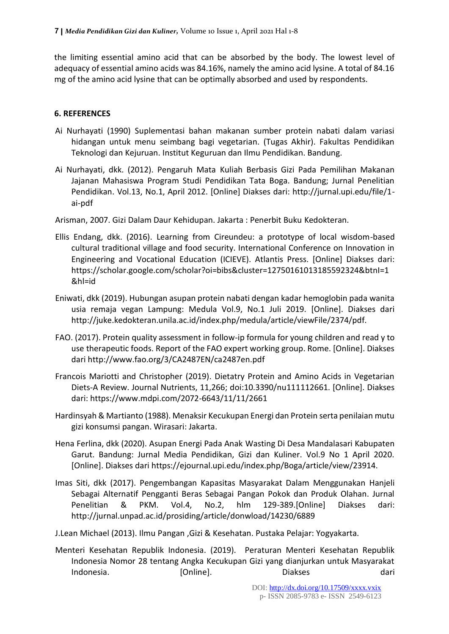the limiting essential amino acid that can be absorbed by the body. The lowest level of adequacy of essential amino acids was 84.16%, namely the amino acid lysine. A total of 84.16 mg of the amino acid lysine that can be optimally absorbed and used by respondents.

### **6. REFERENCES**

- Ai Nurhayati (1990) Suplementasi bahan makanan sumber protein nabati dalam variasi hidangan untuk menu seimbang bagi vegetarian. (Tugas Akhir). Fakultas Pendidikan Teknologi dan Kejuruan. Institut Keguruan dan Ilmu Pendidikan. Bandung.
- Ai Nurhayati, dkk. (2012). Pengaruh Mata Kuliah Berbasis Gizi Pada Pemilihan Makanan Jajanan Mahasiswa Program Studi Pendidikan Tata Boga. Bandung; Jurnal Penelitian Pendidikan. Vol.13, No.1, April 2012. [Online] Diakses dari: http://jurnal.upi.edu/file/1 ai-pdf
- Arisman, 2007. Gizi Dalam Daur Kehidupan. Jakarta : Penerbit Buku Kedokteran.
- Ellis Endang, dkk. (2016). Learning from Cireundeu: a prototype of local wisdom-based cultural traditional village and food security. International Conference on Innovation in Engineering and Vocational Education (ICIEVE). Atlantis Press. [Online] Diakses dari: https://scholar.google.com/scholar?oi=bibs&cluster=12750161013185592324&btnI=1 &hl=id
- Eniwati, dkk (2019). Hubungan asupan protein nabati dengan kadar hemoglobin pada wanita usia remaja vegan Lampung: Medula Vol.9, No.1 Juli 2019. [Online]. Diakses dari http://juke.kedokteran.unila.ac.id/index.php/medula/article/viewFile/2374/pdf.
- FAO. (2017). Protein quality assessment in follow-ip formula for young children and read y to use therapeutic foods. Report of the FAO expert working group. Rome. [Online]. Diakses dari http://www.fao.org/3/CA2487EN/ca2487en.pdf
- Francois Mariotti and Christopher (2019). Dietatry Protein and Amino Acids in Vegetarian Diets-A Review. Journal Nutrients, 11,266; doi:10.3390/nu111112661. [Online]. Diakses dari: https://www.mdpi.com/2072-6643/11/11/2661
- Hardinsyah & Martianto (1988). Menaksir Kecukupan Energi dan Protein serta penilaian mutu gizi konsumsi pangan. Wirasari: Jakarta.
- Hena Ferlina, dkk (2020). Asupan Energi Pada Anak Wasting Di Desa Mandalasari Kabupaten Garut. Bandung: Jurnal Media Pendidikan, Gizi dan Kuliner. Vol.9 No 1 April 2020. [Online]. Diakses dari https://ejournal.upi.edu/index.php/Boga/article/view/23914.
- Imas Siti, dkk (2017). Pengembangan Kapasitas Masyarakat Dalam Menggunakan Hanjeli Sebagai Alternatif Pengganti Beras Sebagai Pangan Pokok dan Produk Olahan. Jurnal Penelitian & PKM. Vol.4, No.2, hlm 129-389.[Online] Diakses dari: http://jurnal.unpad.ac.id/prosiding/article/donwload/14230/6889
- J.Lean Michael (2013). Ilmu Pangan ,Gizi & Kesehatan. Pustaka Pelajar: Yogyakarta.
- Menteri Kesehatan Republik Indonesia. (2019). Peraturan Menteri Kesehatan Republik Indonesia Nomor 28 tentang Angka Kecukupan Gizi yang dianjurkan untuk Masyarakat Indonesia. [Online]. Diakses dari